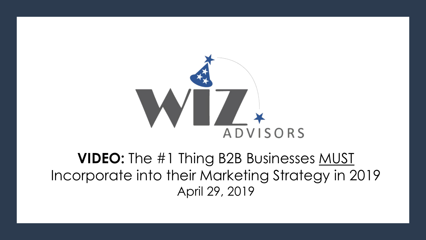

#### **VIDEO:** The #1 Thing B2B Businesses MUST Incorporate into their Marketing Strategy in 2019 April 29, 2019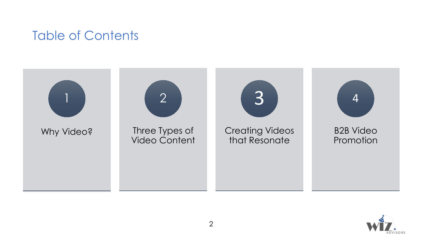#### Table of Contents



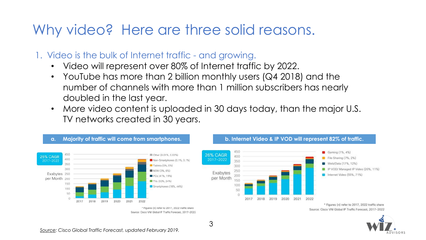### Why video? Here are three solid reasons.

- 1. Video is the bulk of Internet traffic and growing.
	- Video will represent over 80% of Internet traffic by 2022.
	- YouTube has more than 2 billion monthly users (Q4 2018) and the number of channels with more than 1 million subscribers has nearly doubled in the last year.
	- More video content is uploaded in 30 days today, than the major U.S. TV networks created in 30 years.





Source: Cisco VNI Global IP Traffic Forecast, 2017-2022

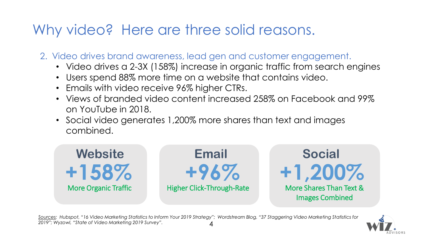# Why video? Here are three solid reasons.

- 2. Video drives brand awareness, lead gen and customer engagement.
	- Video drives a 2-3X (158%) increase in organic traffic from search engines
	- Users spend 88% more time on a website that contains video.
	- Emails with video receive 96% higher CTRs.
	- Views of branded video content increased 258% on Facebook and 99% on YouTube in 2018.
	- Social video generates 1,200% more shares than text and images combined.



*Sources: Hubspot, "16 Video Marketing Statistics to Inform Your 2019 Strategy"; Wordstream Blog, "37 Staggering Video Marketing Statistics for 2019"; Wyzowl, "State of Video Marketing 2019 Survey".* 4

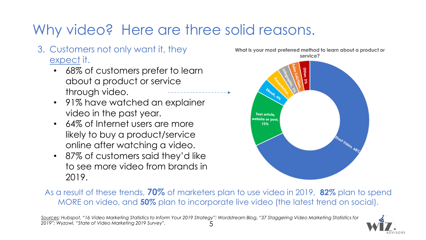# Why video? Here are three solid reasons.

- 3. Customers not only want it, they expect it.
	- 68% of customers prefer to learn about a product or service through video.
	- 91% have watched an explainer video in the past year.
	- 64% of Internet users are more likely to buy a product/service online after watching a video.
	- 87% of customers said they'd like to see more video from brands in 2019.





As a result of these trends, **70%** of marketers plan to use video in 2019, **82%** plan to spend MORE on video, and **50%** plan to incorporate live video (the latest trend on social).

*Sources: Hubspot, "16 Video Marketing Statistics to Inform Your 2019 Strategy"; Wordstream Blog, "37 Staggering Video Marketing Statistics for 2019"; Wyzowl, "State of Video Marketing 2019 Survey".* 5

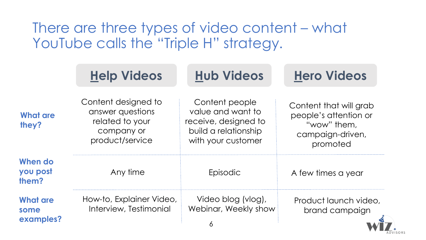# There are three types of video content – what YouTube calls the "Triple H" strategy.

|                                      | <b>Help Videos</b>                                                                          | <b>Hub Videos</b>                                                                                         | <b>Hero Videos</b>                                                                             |
|--------------------------------------|---------------------------------------------------------------------------------------------|-----------------------------------------------------------------------------------------------------------|------------------------------------------------------------------------------------------------|
| <b>What are</b><br>they?             | Content designed to<br>answer questions<br>related to your<br>company or<br>product/service | Content people<br>value and want to<br>receive, designed to<br>build a relationship<br>with your customer | Content that will grab<br>people's attention or<br>"wow" them,<br>campaign-driven,<br>promoted |
| When do<br>you post<br>them?         | Any time                                                                                    | Episodic                                                                                                  | A few times a year                                                                             |
| <b>What are</b><br>some<br>examples? | How-to, Explainer Video,<br>Interview, Testimonial                                          | Video blog (vlog),<br>Webinar, Weekly show<br>O                                                           | Product launch video.<br>brand campaign                                                        |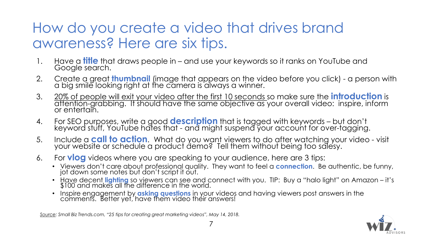# How do you create a video that drives brand awareness? Here are six tips.

- 1. Have a **fitle** that draws people in and use your keywords so it ranks on YouTube and Google search.
- 2. Create a great **thumbnail** (image that appears on the video before you click) a person with a big smile looking right at the camera is always a winner.
- 3. 20% of people will exit your video after the first 10 seconds so make sure the **introduction** is attention-grabbing. It should have the same objective as your overall video: inspire, inform or entertain.
- 4. For SEO purposes, write a good **description** that is tagged with keywords but don't keyword stuff, YouTube hates that - and might suspend your account for over-tagging.
- 5. Include a **call to action**. What do you want viewers to do after watching your video visit your website or schedule a product demo? Tell them without being too salesy.
- 6. For **vlog** videos where you are speaking to your audience, here are 3 tips:
	- Viewers don't care about professional quality. They want to feel a **connection**. Be authentic, be funny, jot down some notes but don't script it out.
	- Have decent **lighting** so viewers can see and connect with you. TIP: Buy a "halo light" on Amazon it's \$100 and makes all the difference in the world.
	- Inspire engagement by **asking questions** in your videos and having viewers post answers in the comments. Better yet, have them video their answers!

*Source: Small Biz Trends.com, "25 tips for creating great marketing videos", May 14, 2018.*

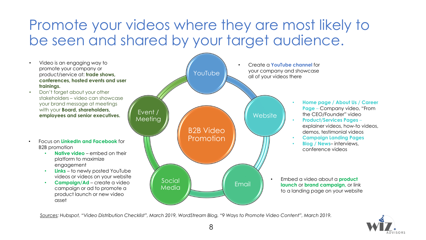# Promote your videos where they are most likely to be seen and shared by your target audience.

- Video is an engaging way to promote your company or product/service at: **trade shows, conferences, hosted events and user trainings.**
- Don't forget about your other stakeholders – video can showcase your brand message at meetings with your **Board, shareholders, employees and senior executives.**
- Focus on **LinkedIn and Facebook** for B2B promotion
	- **Native video** embed on their platform to maximize engagement
	- **Links** to newly posted YouTube videos or videos on your website

• **Campaign/Ad** – create a video campaign or ad to promote a product launch or new video asset



*Sources: Hubspot, "Video Distribution Checklist", March 2019, WordStream Blog, "9 Ways to Promote Video Content", March 2019.* 

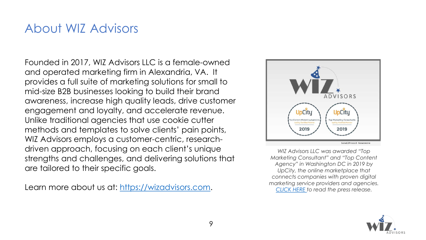#### About WIZ Advisors

Founded in 2017, WIZ Advisors LLC is a female-owned and operated marketing firm in Alexandria, VA. It provides a full suite of marketing solutions for small to mid-size B2B businesses looking to build their brand awareness, increase high quality leads, drive customer engagement and loyalty, and accelerate revenue. Unlike traditional agencies that use cookie cutter methods and templates to solve clients' pain points, WIZ Advisors employs a customer-centric, researchdriven approach, focusing on each client's unique strengths and challenges, and delivering solutions that are tailored to their specific goals.

Learn more about us at: [https://wizadvisors.com](https://wizadvisors.com/).



*WIZ Advisors LLC was awarded "Top Marketing Consultant" and "Top Content Agency" in Washington DC in 2019 by UpCity, the online marketplace that connects companies with proven digital marketing service providers and agencies. [CLICK HERE t](https://www.send2press.com/wire/wiz-advisors-was-just-awarded-top-marketing-consultant-and-top-content-marketing-agency-in-washington-dc-in-2019/)o read the press release.*